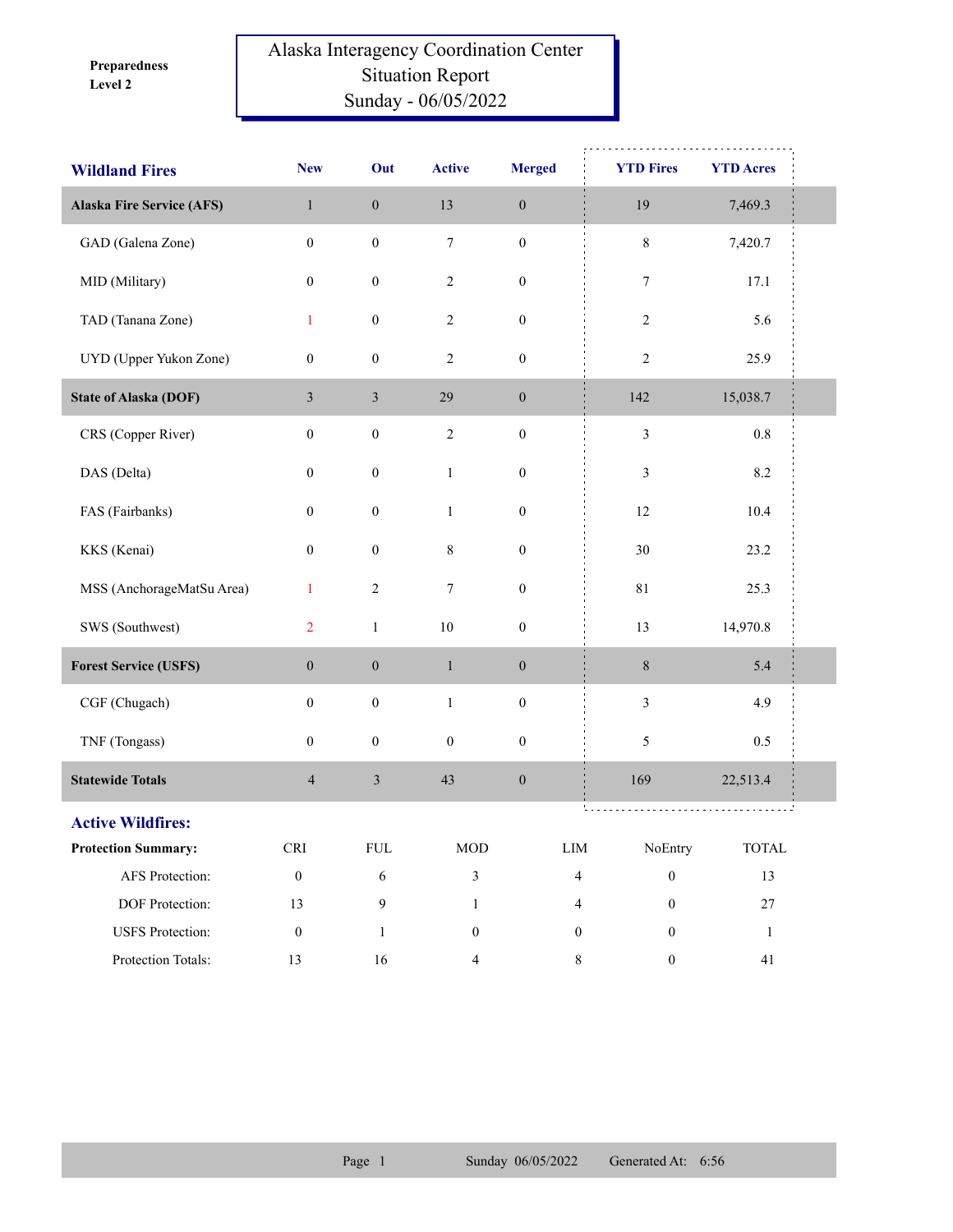**Level 2 Preparedness** 

## Alaska Interagency Coordination Center Situation Report Sunday - 06/05/2022

| <b>Wildland Fires</b>            | <b>New</b>       | Out              | <b>Active</b>    | <b>Merged</b>    | <b>YTD Fires</b>                     | <b>YTD Acres</b> |  |
|----------------------------------|------------------|------------------|------------------|------------------|--------------------------------------|------------------|--|
| <b>Alaska Fire Service (AFS)</b> | $\mathbf{1}$     | $\boldsymbol{0}$ | 13               | $\boldsymbol{0}$ | 19                                   | 7,469.3          |  |
| GAD (Galena Zone)                | $\boldsymbol{0}$ | $\boldsymbol{0}$ | $\boldsymbol{7}$ | $\boldsymbol{0}$ | $\,8\,$                              | 7,420.7          |  |
| MID (Military)                   | $\boldsymbol{0}$ | $\boldsymbol{0}$ | $\sqrt{2}$       | $\boldsymbol{0}$ | 7                                    | 17.1             |  |
| TAD (Tanana Zone)                | 1                | $\boldsymbol{0}$ | $\sqrt{2}$       | $\boldsymbol{0}$ | $\sqrt{2}$                           | 5.6              |  |
| UYD (Upper Yukon Zone)           | $\boldsymbol{0}$ | $\boldsymbol{0}$ | $\sqrt{2}$       | $\boldsymbol{0}$ | $\sqrt{2}$                           | 25.9             |  |
| <b>State of Alaska (DOF)</b>     | $\mathfrak{Z}$   | $\mathfrak{Z}$   | 29               | $\mathbf{0}$     | 142                                  | 15,038.7         |  |
| CRS (Copper River)               | $\boldsymbol{0}$ | $\boldsymbol{0}$ | $\sqrt{2}$       | $\boldsymbol{0}$ | $\mathfrak{Z}$                       | $0.8\,$          |  |
| DAS (Delta)                      | $\boldsymbol{0}$ | $\boldsymbol{0}$ | $\mathbf{1}$     | $\boldsymbol{0}$ | 3                                    | $8.2\,$          |  |
| FAS (Fairbanks)                  | $\boldsymbol{0}$ | $\boldsymbol{0}$ | $\mathbf{1}$     | $\boldsymbol{0}$ | 12                                   | 10.4             |  |
| KKS (Kenai)                      | $\boldsymbol{0}$ | $\boldsymbol{0}$ | 8                | $\boldsymbol{0}$ | 30                                   | 23.2             |  |
| MSS (AnchorageMatSu Area)        | $\mathbf{1}$     | $\sqrt{2}$       | $\boldsymbol{7}$ | $\boldsymbol{0}$ | $8\sqrt{1}$                          | 25.3             |  |
| SWS (Southwest)                  | $\overline{2}$   | $\,1$            | $10\,$           | $\boldsymbol{0}$ | 13                                   | 14,970.8         |  |
| <b>Forest Service (USFS)</b>     | $\boldsymbol{0}$ | $\boldsymbol{0}$ | $\mathbf{1}$     | $\boldsymbol{0}$ | $\,8\,$                              | 5.4              |  |
| CGF (Chugach)                    | $\boldsymbol{0}$ | $\boldsymbol{0}$ | $\mathbf{1}$     | $\boldsymbol{0}$ | $\mathfrak{Z}$                       | 4.9              |  |
| TNF (Tongass)                    | $\boldsymbol{0}$ | $\boldsymbol{0}$ | $\boldsymbol{0}$ | $\boldsymbol{0}$ | 5                                    | 0.5              |  |
| <b>Statewide Totals</b>          | $\overline{4}$   | $\mathfrak z$    | 43               | $\boldsymbol{0}$ | 169                                  | 22,513.4         |  |
| <b>Active Wildfires:</b>         |                  |                  |                  |                  |                                      |                  |  |
| <b>Protection Summary:</b>       | <b>CRI</b>       | ${\rm FUL}$      | $\rm MOD$        |                  | ${\rm LIM}$<br>NoEntry               | <b>TOTAL</b>     |  |
| AFS Protection:                  | $\boldsymbol{0}$ | 6                | $\mathfrak{Z}$   |                  | $\overline{4}$<br>$\boldsymbol{0}$   | 13               |  |
| DOF Protection:                  | 13               | 9                | $\mathbf{1}$     |                  | $\boldsymbol{0}$<br>$\overline{4}$   | $27\,$           |  |
| <b>USFS</b> Protection:          | $\boldsymbol{0}$ | $\mathbf{1}$     | $\boldsymbol{0}$ |                  | $\boldsymbol{0}$<br>$\boldsymbol{0}$ | $\mathbf{1}$     |  |
| Protection Totals:               | 13               | $16\,$           | $\overline{4}$   |                  | $\,8\,$<br>$\boldsymbol{0}$          | 41               |  |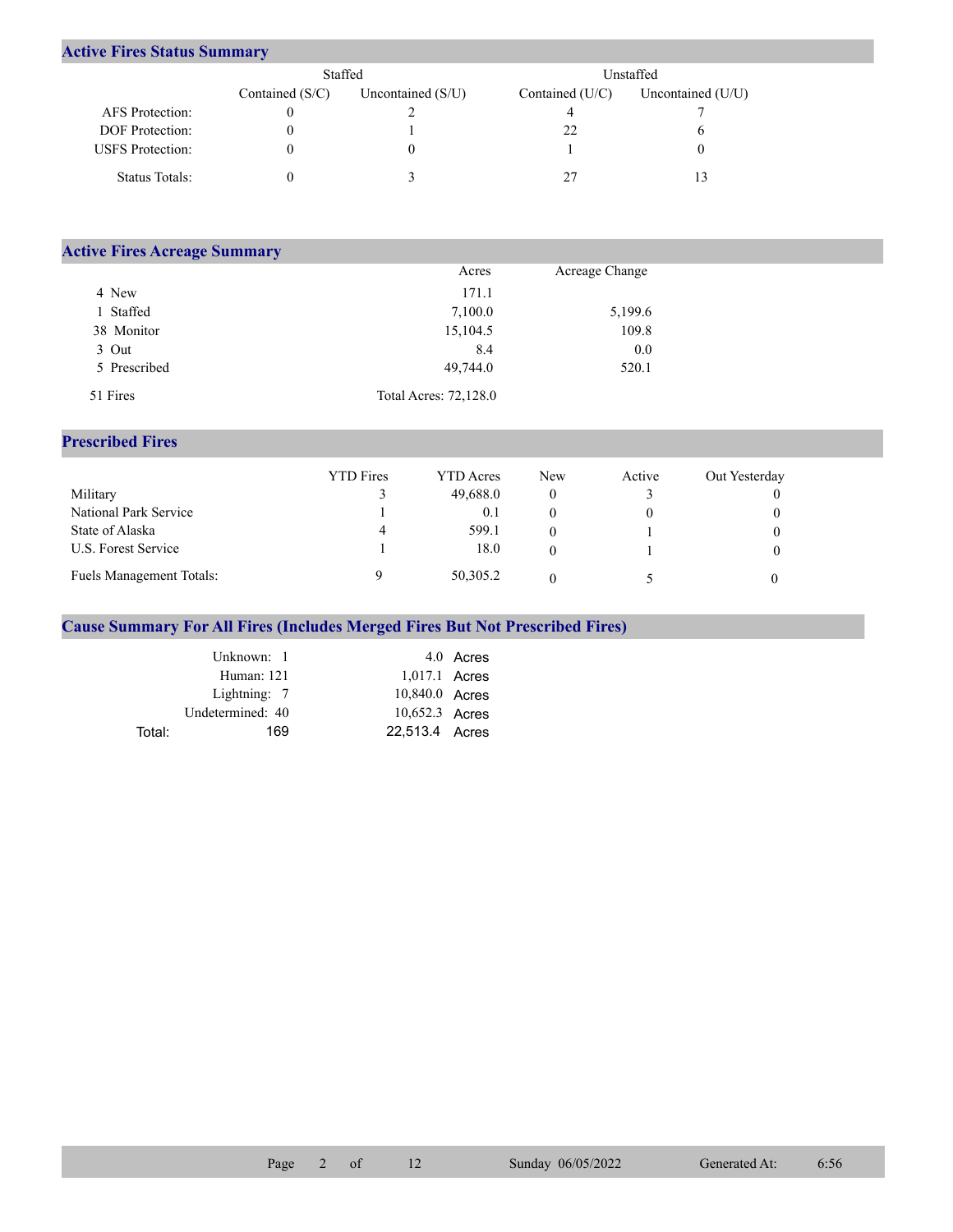## **Active Fires Status Summary**

|                         | Staffed           |                     | Unstaffed       |                     |  |
|-------------------------|-------------------|---------------------|-----------------|---------------------|--|
|                         | Contained $(S/C)$ | Uncontained $(S/U)$ | Contained (U/C) | Uncontained $(U/U)$ |  |
| AFS Protection:         |                   |                     |                 |                     |  |
| <b>DOF</b> Protection:  |                   |                     |                 |                     |  |
| <b>USFS</b> Protection: |                   |                     |                 |                     |  |
| Status Totals:          |                   |                     |                 | 13                  |  |

| <b>Active Fires Acreage Summary</b> |                       |                |  |
|-------------------------------------|-----------------------|----------------|--|
|                                     | Acres                 | Acreage Change |  |
| 4 New                               | 171.1                 |                |  |
| Staffed                             | 7,100.0               | 5,199.6        |  |
| 38 Monitor                          | 15,104.5              | 109.8          |  |
| 3 Out                               | 8.4                   | 0.0            |  |
| 5 Prescribed                        | 49,744.0              | 520.1          |  |
| 51 Fires                            | Total Acres: 72,128.0 |                |  |

## **Prescribed Fires**

|                                 | <b>YTD</b> Fires | <b>YTD</b> Acres | <b>New</b> | Active | Out Yesterday |
|---------------------------------|------------------|------------------|------------|--------|---------------|
| Military                        |                  | 49,688.0         |            |        |               |
| National Park Service           |                  | 0.1              |            |        |               |
| State of Alaska                 | 4                | 599.1            |            |        |               |
| U.S. Forest Service             |                  | 18.0             |            |        |               |
| <b>Fuels Management Totals:</b> |                  | 50,305.2         |            |        |               |

## **Cause Summary For All Fires (Includes Merged Fires But Not Prescribed Fires)**

|        | Unknown: 1       |                 | 4.0 Acres |
|--------|------------------|-----------------|-----------|
|        | Human: 121       | $1,017.1$ Acres |           |
|        | Lightning: 7     | 10,840.0 Acres  |           |
|        | Undetermined: 40 | 10,652.3 Acres  |           |
| Total: | 169              | 22.513.4 Acres  |           |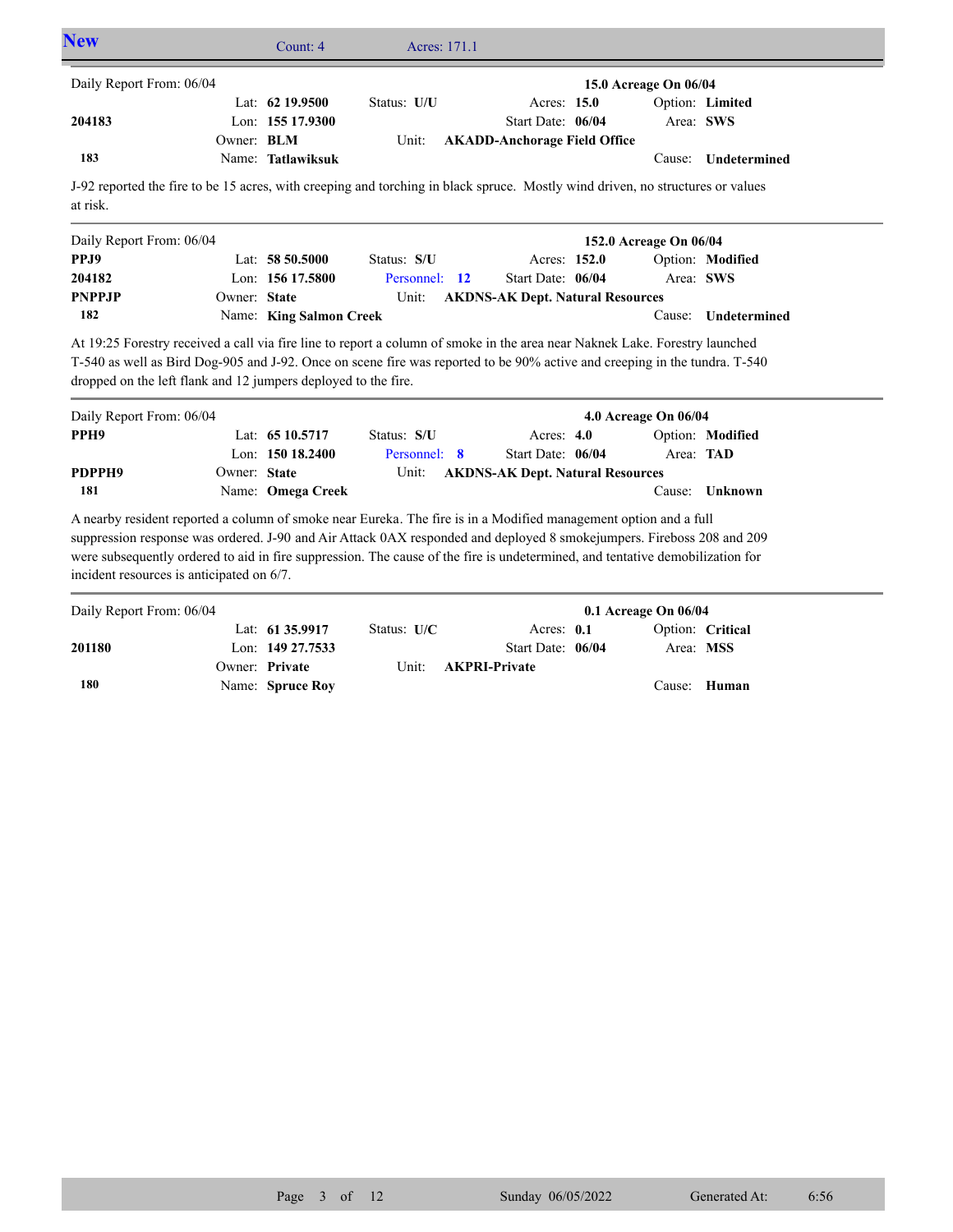| <b>New</b>                                                                                                                                                                                                                                                                                                                  |              | Count: 4                | Acres: 171.1  |                                         |                        |                  |
|-----------------------------------------------------------------------------------------------------------------------------------------------------------------------------------------------------------------------------------------------------------------------------------------------------------------------------|--------------|-------------------------|---------------|-----------------------------------------|------------------------|------------------|
| Daily Report From: 06/04                                                                                                                                                                                                                                                                                                    |              |                         |               |                                         | 15.0 Acreage On 06/04  |                  |
|                                                                                                                                                                                                                                                                                                                             |              | Lat: 62 19.9500         | Status: U/U   | Acres: 15.0                             |                        | Option: Limited  |
| 204183                                                                                                                                                                                                                                                                                                                      |              | Lon: 155 17.9300        |               | Start Date: 06/04                       | Area: SWS              |                  |
|                                                                                                                                                                                                                                                                                                                             | Owner: BLM   |                         | Unit:         | <b>AKADD-Anchorage Field Office</b>     |                        |                  |
| 183                                                                                                                                                                                                                                                                                                                         |              | Name: Tatlawiksuk       |               |                                         | Cause:                 | Undetermined     |
| J-92 reported the fire to be 15 acres, with creeping and torching in black spruce. Mostly wind driven, no structures or values<br>at risk.                                                                                                                                                                                  |              |                         |               |                                         |                        |                  |
| Daily Report From: 06/04                                                                                                                                                                                                                                                                                                    |              |                         |               |                                         | 152.0 Acreage On 06/04 |                  |
| PPJ9                                                                                                                                                                                                                                                                                                                        |              | Lat: $58\,50.5000$      | Status: S/U   | Acres: 152.0                            |                        | Option: Modified |
| 204182                                                                                                                                                                                                                                                                                                                      |              | Lon: 156 17.5800        | Personnel: 12 | Start Date: 06/04                       | Area: SWS              |                  |
| <b>PNPPJP</b>                                                                                                                                                                                                                                                                                                               | Owner: State |                         | Unit:         | <b>AKDNS-AK Dept. Natural Resources</b> |                        |                  |
| 182                                                                                                                                                                                                                                                                                                                         |              | Name: King Salmon Creek |               |                                         | Cause:                 | Undetermined     |
| At 19:25 Forestry received a call via fire line to report a column of smoke in the area near Naknek Lake. Forestry launched<br>T-540 as well as Bird Dog-905 and J-92. Once on scene fire was reported to be 90% active and creeping in the tundra. T-540<br>dropped on the left flank and 12 jumpers deployed to the fire. |              |                         |               |                                         |                        |                  |
|                                                                                                                                                                                                                                                                                                                             |              |                         |               |                                         |                        |                  |
| Daily Report From: 06/04                                                                                                                                                                                                                                                                                                    |              |                         |               |                                         | 4.0 Acreage On 06/04   |                  |
| PPH <sub>9</sub>                                                                                                                                                                                                                                                                                                            |              | Lat: 65 10.5717         | Status: S/U   | Acres: $4.0$                            |                        | Option: Modified |
|                                                                                                                                                                                                                                                                                                                             |              | Lon: $15018.2400$       | Personnel: 8  | Start Date: 06/04                       | Area: TAD              |                  |
| PDPPH9                                                                                                                                                                                                                                                                                                                      | Owner: State |                         | Unit:         | <b>AKDNS-AK Dept. Natural Resources</b> |                        |                  |

A nearby resident reported a column of smoke near Eureka. The fire is in a Modified management option and a full suppression response was ordered. J-90 and Air Attack 0AX responded and deployed 8 smokejumpers. Fireboss 208 and 209 were subsequently ordered to aid in fire suppression. The cause of the fire is undetermined, and tentative demobilization for incident resources is anticipated on 6/7.

Name: **Omega Creek**

**181**

| Daily Report From: 06/04 |                     |               |                            | $0.1$ Acreage On $06/04$ |                  |
|--------------------------|---------------------|---------------|----------------------------|--------------------------|------------------|
|                          | Lat: $6135.9917$    | Status: $U/C$ | Acres: $0.1$               |                          | Option: Critical |
| 201180                   | Lon: $149\,27.7533$ |               | Start Date: 06/04          | Area: MSS                |                  |
|                          | Owner: Private      |               | Unit: <b>AKPRI-Private</b> |                          |                  |
| 180                      | Name: Spruce Roy    |               |                            |                          | Cause: Human     |

Cause: **Unknown**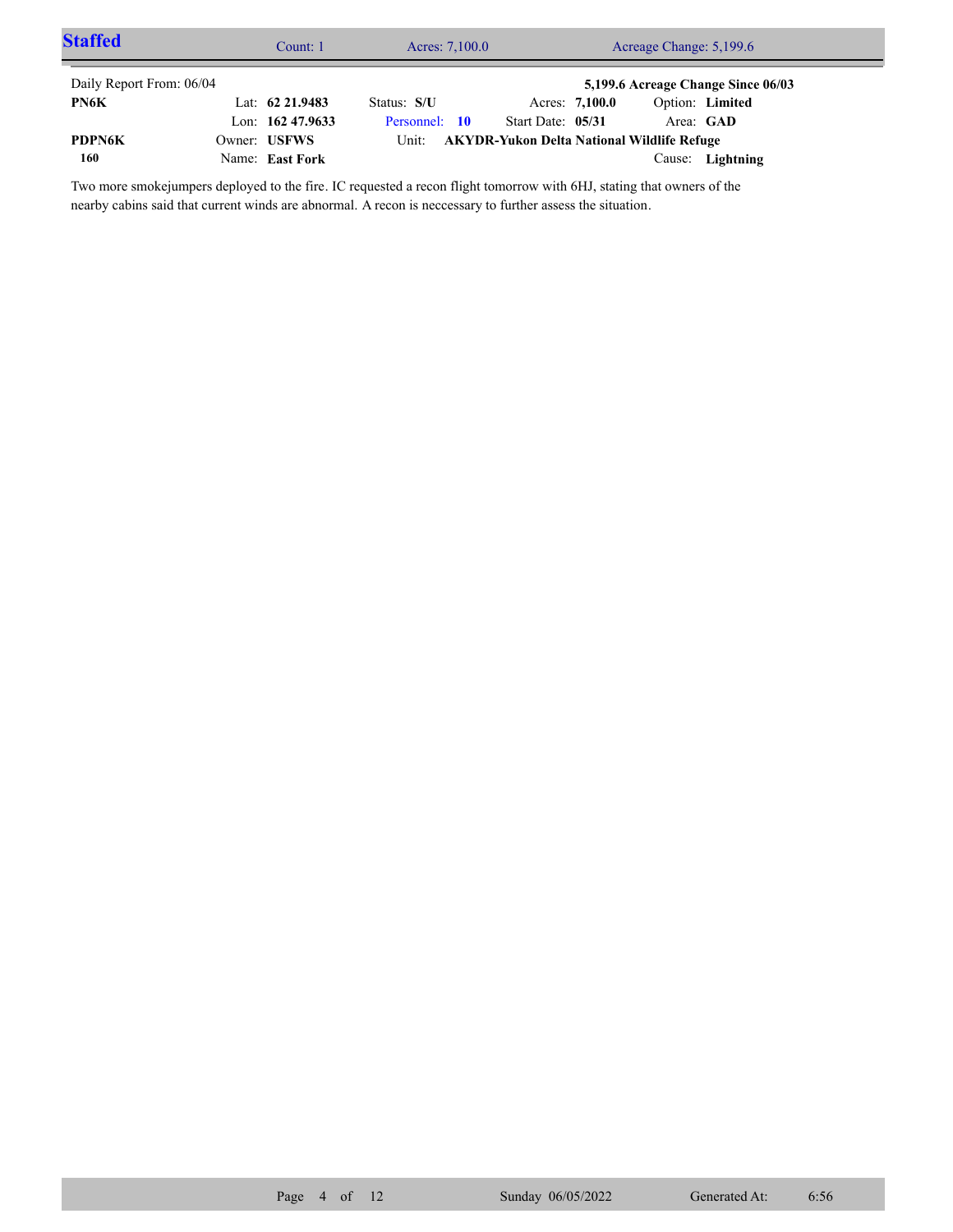| <b>Staffed</b>           | Count: 1           | Acres: 7,100.0                                   |                   |                | Acreage Change: 5,199.6 |                                    |  |
|--------------------------|--------------------|--------------------------------------------------|-------------------|----------------|-------------------------|------------------------------------|--|
| Daily Report From: 06/04 |                    |                                                  |                   |                |                         | 5,199.6 Acreage Change Since 06/03 |  |
| PN6K                     | Lat: $62\,21.9483$ | Status: S/U                                      |                   | Acres: 7,100.0 | Option: Limited         |                                    |  |
|                          | Lon: $16247.9633$  | Personnel: 10                                    | Start Date: 05/31 |                | Area: GAD               |                                    |  |
| <b>PDPN6K</b>            | Owner: USFWS       | Unit: AKYDR-Yukon Delta National Wildlife Refuge |                   |                |                         |                                    |  |
| 160                      | Name: East Fork    |                                                  |                   |                | Cause:                  | Lightning                          |  |

Two more smokejumpers deployed to the fire. IC requested a recon flight tomorrow with 6HJ, stating that owners of the nearby cabins said that current winds are abnormal. A recon is neccessary to further assess the situation.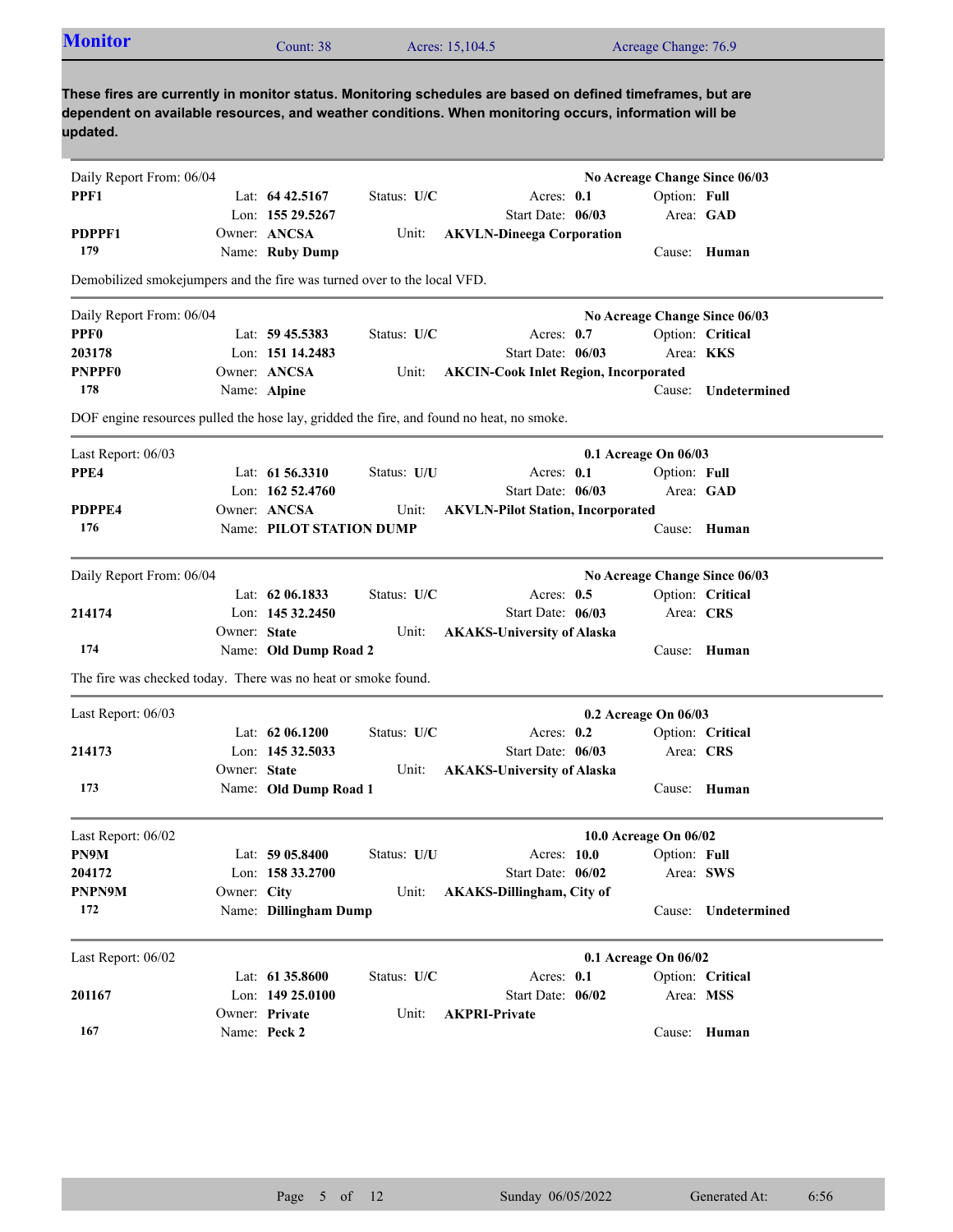| <b>Monitor</b>                                                                                                                                                                                                                  |              | Count: 38                      |             | Acres: 15,104.5                                                                          |              | Acreage Change: 76.9          |                     |
|---------------------------------------------------------------------------------------------------------------------------------------------------------------------------------------------------------------------------------|--------------|--------------------------------|-------------|------------------------------------------------------------------------------------------|--------------|-------------------------------|---------------------|
| These fires are currently in monitor status. Monitoring schedules are based on defined timeframes, but are<br>dependent on available resources, and weather conditions. When monitoring occurs, information will be<br>updated. |              |                                |             |                                                                                          |              |                               |                     |
| Daily Report From: 06/04                                                                                                                                                                                                        |              |                                |             |                                                                                          |              | No Acreage Change Since 06/03 |                     |
| PPF1                                                                                                                                                                                                                            |              | Lat: $64\,42.5167$             | Status: U/C |                                                                                          | Acres: $0.1$ | Option: Full                  |                     |
|                                                                                                                                                                                                                                 |              | Lon: 155 29.5267               |             | Start Date: 06/03                                                                        |              |                               | Area: GAD           |
| PDPPF1                                                                                                                                                                                                                          |              | Owner: ANCSA                   | Unit:       | <b>AKVLN-Dineega Corporation</b>                                                         |              |                               |                     |
| 179                                                                                                                                                                                                                             |              | Name: Ruby Dump                |             |                                                                                          |              |                               | Cause: Human        |
| Demobilized smokejumpers and the fire was turned over to the local VFD.                                                                                                                                                         |              |                                |             |                                                                                          |              |                               |                     |
| Daily Report From: 06/04                                                                                                                                                                                                        |              |                                |             |                                                                                          |              | No Acreage Change Since 06/03 |                     |
| <b>PPF0</b>                                                                                                                                                                                                                     |              | Lat: $59\,45.5383$             | Status: U/C |                                                                                          | Acres: 0.7   |                               | Option: Critical    |
| 203178                                                                                                                                                                                                                          |              | Lon: 151 14.2483               |             | Start Date: 06/03                                                                        |              |                               | Area: KKS           |
| <b>PNPPF0</b>                                                                                                                                                                                                                   |              | Owner: ANCSA                   | Unit:       | <b>AKCIN-Cook Inlet Region, Incorporated</b>                                             |              |                               |                     |
| 178                                                                                                                                                                                                                             |              | Name: Alpine                   |             |                                                                                          |              | Cause:                        | Undetermined        |
|                                                                                                                                                                                                                                 |              |                                |             | DOF engine resources pulled the hose lay, gridded the fire, and found no heat, no smoke. |              |                               |                     |
| Last Report: 06/03                                                                                                                                                                                                              |              |                                |             |                                                                                          |              | 0.1 Acreage On 06/03          |                     |
| PPE4                                                                                                                                                                                                                            |              | Lat: $61\,56.3310$             | Status: U/U |                                                                                          | Acres: 0.1   | Option: Full                  |                     |
|                                                                                                                                                                                                                                 |              | Lon: $16252.4760$              |             | Start Date: 06/03                                                                        |              |                               | Area: GAD           |
| PDPPE4                                                                                                                                                                                                                          |              | Owner: ANCSA                   | Unit:       | <b>AKVLN-Pilot Station, Incorporated</b>                                                 |              |                               |                     |
| 176                                                                                                                                                                                                                             |              | Name: PILOT STATION DUMP       |             |                                                                                          |              |                               | Cause: Human        |
| Daily Report From: 06/04                                                                                                                                                                                                        |              |                                |             |                                                                                          |              | No Acreage Change Since 06/03 |                     |
|                                                                                                                                                                                                                                 |              | Lat: $62\,06.1833$             | Status: U/C |                                                                                          | Acres: $0.5$ |                               | Option: Critical    |
| 214174                                                                                                                                                                                                                          |              | Lon: 145 32.2450               |             | Start Date: 06/03                                                                        |              |                               | Area: CRS           |
|                                                                                                                                                                                                                                 | Owner: State |                                | Unit:       | <b>AKAKS-University of Alaska</b>                                                        |              |                               |                     |
| 174                                                                                                                                                                                                                             |              | Name: Old Dump Road 2          |             |                                                                                          |              |                               | Cause: Human        |
| The fire was checked today. There was no heat or smoke found.                                                                                                                                                                   |              |                                |             |                                                                                          |              |                               |                     |
| Last Report: 06/03                                                                                                                                                                                                              |              |                                |             |                                                                                          |              | 0.2 Acreage On 06/03          |                     |
|                                                                                                                                                                                                                                 |              | Lat: 62 06.1200                | Status: U/C |                                                                                          | Acres: 0.2   |                               | Option: Critical    |
| 214173                                                                                                                                                                                                                          |              | Lon: 145 32.5033               |             | Start Date: 06/03                                                                        |              |                               | Area: CRS           |
|                                                                                                                                                                                                                                 | Owner: State |                                | Unit:       | <b>AKAKS-University of Alaska</b>                                                        |              |                               |                     |
| 173                                                                                                                                                                                                                             |              | Name: Old Dump Road 1          |             |                                                                                          |              |                               | Cause: Human        |
| Last Report: 06/02                                                                                                                                                                                                              |              |                                |             |                                                                                          |              | 10.0 Acreage On 06/02         |                     |
| PN9M                                                                                                                                                                                                                            |              | Lat: 59 05.8400                | Status: U/U |                                                                                          | Acres: 10.0  | Option: Full                  |                     |
| 204172                                                                                                                                                                                                                          |              | Lon: 158 33.2700               |             | Start Date: 06/02                                                                        |              |                               | Area: SWS           |
| <b>PNPN9M</b>                                                                                                                                                                                                                   | Owner: City  |                                | Unit:       | <b>AKAKS-Dillingham, City of</b>                                                         |              |                               |                     |
| 172                                                                                                                                                                                                                             |              | Name: Dillingham Dump          |             |                                                                                          |              |                               | Cause: Undetermined |
|                                                                                                                                                                                                                                 |              |                                |             |                                                                                          |              |                               |                     |
| Last Report: 06/02                                                                                                                                                                                                              |              |                                |             |                                                                                          |              | 0.1 Acreage On 06/02          |                     |
|                                                                                                                                                                                                                                 |              | Lat: $61\,35.8600$             | Status: U/C |                                                                                          | Acres: 0.1   |                               | Option: Critical    |
| 201167                                                                                                                                                                                                                          |              | Lon: 149 25.0100               |             | Start Date: 06/02                                                                        |              |                               | Area: MSS           |
|                                                                                                                                                                                                                                 |              | Owner: Private<br>Name: Peck 2 | Unit:       | <b>AKPRI-Private</b>                                                                     |              |                               |                     |
| 167                                                                                                                                                                                                                             |              |                                |             |                                                                                          |              |                               | Cause: Human        |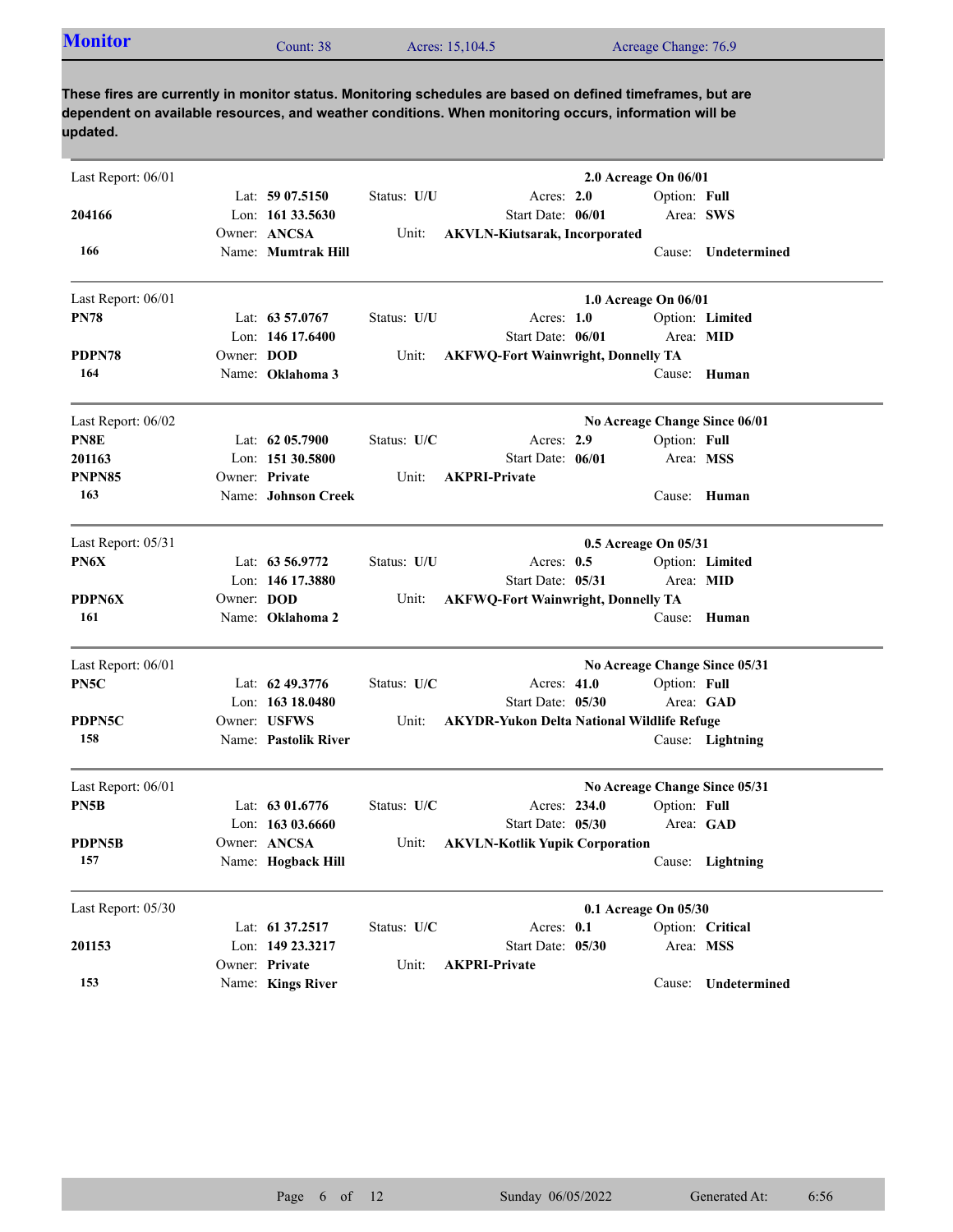| <b>Monitor</b> | Count: 38 | Acres: 15,104.5 | Acreage Change: 76.9 |
|----------------|-----------|-----------------|----------------------|

| Last Report: 06/01 |            |                      |             |                                                   | 2.0 Acreage On 06/01          |              |                     |
|--------------------|------------|----------------------|-------------|---------------------------------------------------|-------------------------------|--------------|---------------------|
|                    |            | Lat: $5907.5150$     | Status: U/U | Acres: 2.0                                        |                               | Option: Full |                     |
| 204166             |            | Lon: $161\,33.5630$  |             | Start Date: 06/01                                 |                               | Area: SWS    |                     |
|                    |            | Owner: ANCSA         | Unit:       | <b>AKVLN-Kiutsarak, Incorporated</b>              |                               |              |                     |
| 166                |            | Name: Mumtrak Hill   |             |                                                   |                               |              | Cause: Undetermined |
| Last Report: 06/01 |            |                      |             |                                                   | 1.0 Acreage On 06/01          |              |                     |
| <b>PN78</b>        |            | Lat: $63\,57.0767$   | Status: U/U | Acres: 1.0                                        |                               |              | Option: Limited     |
|                    |            | Lon: 146 17.6400     |             | Start Date: 06/01                                 |                               | Area: MID    |                     |
| PDPN78             | Owner: DOD |                      | Unit:       | <b>AKFWQ-Fort Wainwright, Donnelly TA</b>         |                               |              |                     |
| 164                |            | Name: Oklahoma 3     |             |                                                   |                               |              | Cause: Human        |
| Last Report: 06/02 |            |                      |             |                                                   | No Acreage Change Since 06/01 |              |                     |
| PN8E               |            | Lat: $6205.7900$     | Status: U/C | Acres: 2.9                                        |                               | Option: Full |                     |
| 201163             |            | Lon: 151 30.5800     |             | Start Date: 06/01                                 |                               | Area: MSS    |                     |
| <b>PNPN85</b>      |            | Owner: Private       | Unit:       | <b>AKPRI-Private</b>                              |                               |              |                     |
| 163                |            | Name: Johnson Creek  |             |                                                   |                               |              | Cause: Human        |
| Last Report: 05/31 |            |                      |             |                                                   | 0.5 Acreage On 05/31          |              |                     |
| PN6X               |            | Lat: $63\,56.9772$   | Status: U/U | Acres: $0.5$                                      |                               |              | Option: Limited     |
|                    |            | Lon: 146 17.3880     |             | Start Date: 05/31                                 |                               | Area: MID    |                     |
| PDPN6X             | Owner: DOD |                      | Unit:       | <b>AKFWQ-Fort Wainwright, Donnelly TA</b>         |                               |              |                     |
| 161                |            | Name: Oklahoma 2     |             |                                                   |                               | Cause:       | Human               |
| Last Report: 06/01 |            |                      |             |                                                   | No Acreage Change Since 05/31 |              |                     |
| PN5C               |            | Lat: 62 49.3776      | Status: U/C | Acres: 41.0                                       |                               | Option: Full |                     |
|                    |            | Lon: $16318.0480$    |             | Start Date: 05/30                                 |                               |              | Area: GAD           |
| PDPN5C             |            | Owner: USFWS         | Unit:       | <b>AKYDR-Yukon Delta National Wildlife Refuge</b> |                               |              |                     |
| 158                |            | Name: Pastolik River |             |                                                   |                               |              | Cause: Lightning    |
| Last Report: 06/01 |            |                      |             |                                                   | No Acreage Change Since 05/31 |              |                     |
| PN5B               |            | Lat: $6301.6776$     | Status: U/C | Acres: 234.0                                      |                               | Option: Full |                     |
|                    |            | Lon: $16303.6660$    |             | Start Date: 05/30                                 |                               |              | Area: GAD           |
| PDPN5B             |            | Owner: ANCSA         | Unit:       | <b>AKVLN-Kotlik Yupik Corporation</b>             |                               |              |                     |
| 157                |            | Name: Hogback Hill   |             |                                                   |                               |              | Cause: Lightning    |
| Last Report: 05/30 |            |                      |             |                                                   | 0.1 Acreage On 05/30          |              |                     |
|                    |            | Lat: 61 37.2517      | Status: U/C | Acres: 0.1                                        |                               |              | Option: Critical    |
| 201153             |            | Lon: 149 23.3217     |             | Start Date: 05/30                                 |                               | Area: MSS    |                     |
|                    |            | Owner: Private       | Unit:       | <b>AKPRI-Private</b>                              |                               |              |                     |
| 153                |            | Name: Kings River    |             |                                                   |                               |              | Cause: Undetermined |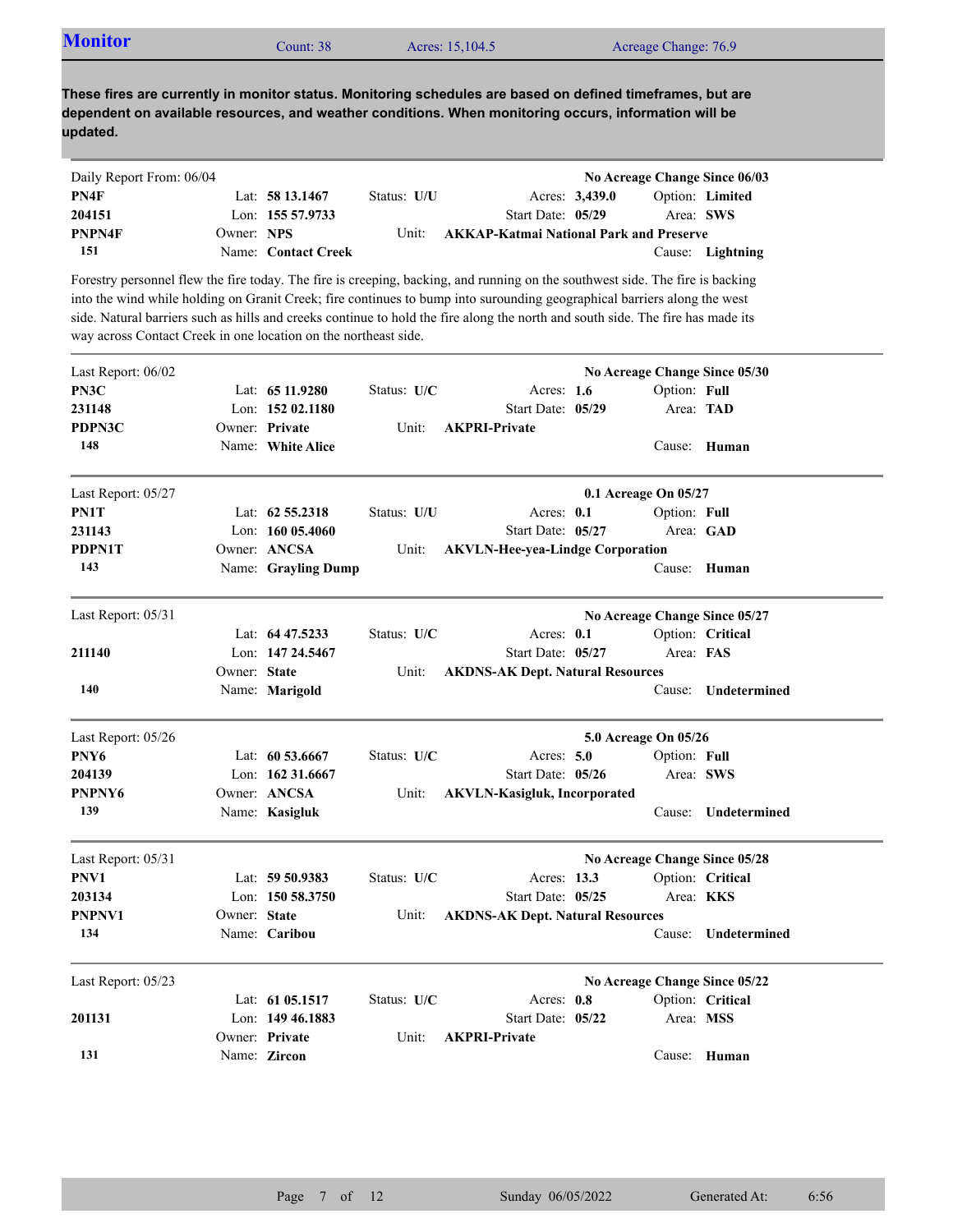| <b>Monitor</b> | Count: $381$ | Acres: 15,104.5 | Acreage Change: 76.9 |
|----------------|--------------|-----------------|----------------------|
|                |              |                 |                      |

| Daily Report From: 06/04 |            |                     |             |                                                |                |           | No Acreage Change Since 06/03 |
|--------------------------|------------|---------------------|-------------|------------------------------------------------|----------------|-----------|-------------------------------|
| PN4F                     |            | Lat: $5813.1467$    | Status: U/U |                                                | Acres: 3,439.0 |           | Option: Limited               |
| 204151                   |            | Lon: 155 57.9733    |             | Start Date: 05/29                              |                | Area: SWS |                               |
| <b>PNPN4F</b>            | Owner: NPS |                     | Unit:       | <b>AKKAP-Katmai National Park and Preserve</b> |                |           |                               |
| 151                      |            | Name: Contact Creek |             |                                                |                |           | Cause: Lightning              |

Forestry personnel flew the fire today. The fire is creeping, backing, and running on the southwest side. The fire is backing into the wind while holding on Granit Creek; fire continues to bump into surounding geographical barriers along the west side. Natural barriers such as hills and creeks continue to hold the fire along the north and south side. The fire has made its way across Contact Creek in one location on the northeast side.

| Last Report: 06/02 |              |                     |               |                                         |                      | No Acreage Change Since 05/30 |
|--------------------|--------------|---------------------|---------------|-----------------------------------------|----------------------|-------------------------------|
| PN3C               |              | Lat: $6511.9280$    | Status: U/C   | Acres: $1.6$                            | Option: Full         |                               |
| 231148             |              | Lon: $15202.1180$   |               | Start Date: 05/29                       | Area: TAD            |                               |
| PDPN3C             |              | Owner: Private      | Unit:         | <b>AKPRI-Private</b>                    |                      |                               |
| 148                |              | Name: White Alice   |               |                                         |                      | Cause: Human                  |
| Last Report: 05/27 |              |                     |               |                                         | 0.1 Acreage On 05/27 |                               |
| PN1T               |              | Lat: $62\,55.2318$  | Status: U/U   | Acres: 0.1                              | Option: Full         |                               |
| 231143             |              | Lon: 160 05.4060    |               | Start Date: 05/27                       |                      | Area: GAD                     |
| PDPN1T             |              | Owner: ANCSA        | Unit:         | <b>AKVLN-Hee-yea-Lindge Corporation</b> |                      |                               |
| 143                |              | Name: Grayling Dump |               |                                         |                      | Cause: Human                  |
| Last Report: 05/31 |              |                     |               |                                         |                      | No Acreage Change Since 05/27 |
|                    |              | Lat: $64\,47.5233$  | Status: $U/C$ | Acres: $0.1$                            |                      | Option: Critical              |
| 211140             |              | Lon: 147 24.5467    |               | Start Date: 05/27                       | Area: FAS            |                               |
|                    | Owner: State |                     | Unit:         | <b>AKDNS-AK Dept. Natural Resources</b> |                      |                               |
| 140                |              | Name: Marigold      |               |                                         | Cause:               | Undetermined                  |
| Last Report: 05/26 |              |                     |               |                                         | 5.0 Acreage On 05/26 |                               |
| PNY6               |              | Lat: 60 53.6667     | Status: U/C   | Acres: $5.0$                            | Option: Full         |                               |
| 204139             |              | Lon: 162 31.6667    |               | Start Date: 05/26                       | Area: SWS            |                               |
| PNPNY6             |              | Owner: ANCSA        | Unit:         | <b>AKVLN-Kasigluk, Incorporated</b>     |                      |                               |
| 139                |              | Name: Kasigluk      |               |                                         | Cause:               | Undetermined                  |
| Last Report: 05/31 |              |                     |               |                                         |                      | No Acreage Change Since 05/28 |
| PNV1               |              | Lat: 59 50.9383     | Status: U/C   | Acres: 13.3                             |                      | Option: Critical              |
| 203134             |              | Lon: 150 58.3750    |               | Start Date: 05/25                       | Area: <b>KKS</b>     |                               |
| PNPNV1             | Owner: State |                     | Unit:         | <b>AKDNS-AK Dept. Natural Resources</b> |                      |                               |
| 134                |              | Name: Caribou       |               |                                         | Cause:               | Undetermined                  |
| Last Report: 05/23 |              |                     |               |                                         |                      | No Acreage Change Since 05/22 |
|                    |              | Lat: 61 05.1517     | Status: U/C   | Acres: 0.8                              |                      | Option: Critical              |
| 201131             |              | Lon: 149 46.1883    |               | Start Date: 05/22                       | Area: MSS            |                               |
|                    |              | Owner: Private      | Unit:         | <b>AKPRI-Private</b>                    |                      |                               |
| 131                |              | Name: Zircon        |               |                                         |                      | Cause: Human                  |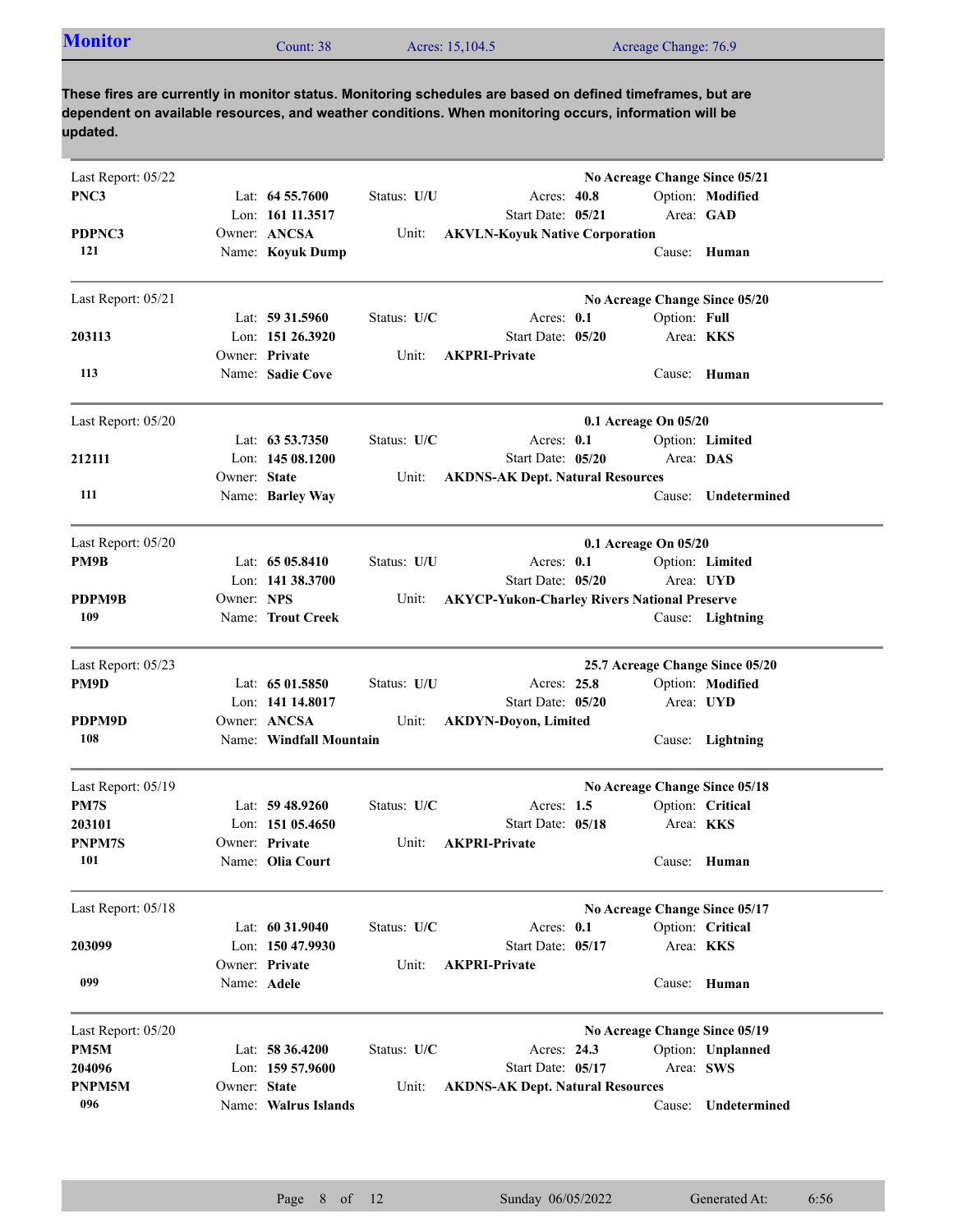| <b>Monitor</b><br>Acres: 15,104.5<br>Count: 38 | Acreage Change: 76.9 |
|------------------------------------------------|----------------------|
|------------------------------------------------|----------------------|

| Last Report: 05/22<br>PNC3 |              | Lat: $64\,55.7600$<br>Lon: 161 11.3517                   | Status: U/U          | Acres: 40.8<br>Start Date: 05/21                             | No Acreage Change Since 05/21<br>Area: GAD | Option: Modified  |
|----------------------------|--------------|----------------------------------------------------------|----------------------|--------------------------------------------------------------|--------------------------------------------|-------------------|
| PDPNC3<br>121              |              | Owner: ANCSA<br>Name: Koyuk Dump                         | Unit:                | <b>AKVLN-Koyuk Native Corporation</b>                        |                                            | Cause: Human      |
| Last Report: 05/21         |              |                                                          |                      |                                                              | No Acreage Change Since 05/20              |                   |
| 203113                     |              | Lat: $59\,31.5960$<br>Lon: 151 26.3920<br>Owner: Private | Status: U/C<br>Unit: | Acres: $0.1$<br>Start Date: 05/20<br><b>AKPRI-Private</b>    | Option: Full<br>Area: KKS                  |                   |
| 113                        |              | Name: Sadie Cove                                         |                      |                                                              |                                            | Cause: Human      |
| Last Report: 05/20         |              |                                                          |                      |                                                              | 0.1 Acreage On 05/20                       |                   |
|                            |              | Lat: 63 53.7350                                          | Status: U/C          | Acres: $0.1$                                                 |                                            | Option: Limited   |
| 212111                     | Owner: State | Lon: $14508.1200$                                        | Unit:                | Start Date: 05/20<br><b>AKDNS-AK Dept. Natural Resources</b> | Area: DAS                                  |                   |
| 111                        |              | Name: Barley Way                                         |                      |                                                              | Cause:                                     | Undetermined      |
| Last Report: 05/20         |              |                                                          |                      |                                                              | 0.1 Acreage On 05/20                       |                   |
| PM9B                       |              | Lat: 65 05.8410                                          | Status: U/U          | Acres: $0.1$                                                 |                                            | Option: Limited   |
|                            |              | Lon: 141 38.3700                                         |                      | Start Date: 05/20                                            | Area: UYD                                  |                   |
| PDPM9B<br>109              | Owner: NPS   | Name: Trout Creek                                        | Unit:                | <b>AKYCP-Yukon-Charley Rivers National Preserve</b>          |                                            | Cause: Lightning  |
|                            |              |                                                          |                      |                                                              |                                            |                   |
| Last Report: 05/23         |              |                                                          |                      |                                                              | 25.7 Acreage Change Since 05/20            |                   |
| PM9D                       |              | Lat: 65 01.5850                                          | Status: U/U          | Acres: 25.8                                                  |                                            | Option: Modified  |
|                            |              | Lon: 141 14.8017                                         |                      | Start Date: 05/20                                            | Area: UYD                                  |                   |
| PDPM9D<br>108              |              | Owner: ANCSA<br>Name: Windfall Mountain                  | Unit:                | <b>AKDYN-Doyon, Limited</b>                                  |                                            | Cause: Lightning  |
| Last Report: 05/19         |              |                                                          |                      |                                                              | No Acreage Change Since 05/18              |                   |
| PM7S                       |              | Lat: $59\,48.9260$                                       | Status: U/C          | Acres: $1.5$                                                 |                                            | Option: Critical  |
| 203101                     |              | Lon: $15105.4650$                                        |                      | Start Date: 05/18                                            | Area: <b>KKS</b>                           |                   |
| <b>PNPM7S</b>              |              | Owner: Private                                           | Unit:                | <b>AKPRI-Private</b>                                         |                                            |                   |
| 101                        |              | Name: Olia Court                                         |                      |                                                              |                                            | Cause: Human      |
| Last Report: 05/18         |              |                                                          |                      |                                                              | No Acreage Change Since 05/17              |                   |
|                            |              | Lat: 60 31.9040                                          | Status: U/C          | Acres: 0.1                                                   |                                            | Option: Critical  |
| 203099                     |              | Lon: 150 47.9930                                         |                      | Start Date: 05/17                                            | Area: KKS                                  |                   |
| 099                        | Name: Adele  | Owner: Private                                           | Unit:                | <b>AKPRI-Private</b>                                         |                                            | Cause: Human      |
| Last Report: 05/20         |              |                                                          |                      |                                                              | No Acreage Change Since 05/19              |                   |
| PM5M                       |              | Lat: 58 36.4200                                          | Status: U/C          | Acres: 24.3                                                  |                                            | Option: Unplanned |
| 204096                     |              | Lon: 159 57.9600                                         |                      | Start Date: 05/17                                            | Area: SWS                                  |                   |
| PNPM5M                     | Owner: State |                                                          | Unit:                | <b>AKDNS-AK Dept. Natural Resources</b>                      |                                            |                   |
| 096                        |              | Name: Walrus Islands                                     |                      |                                                              | Cause:                                     | Undetermined      |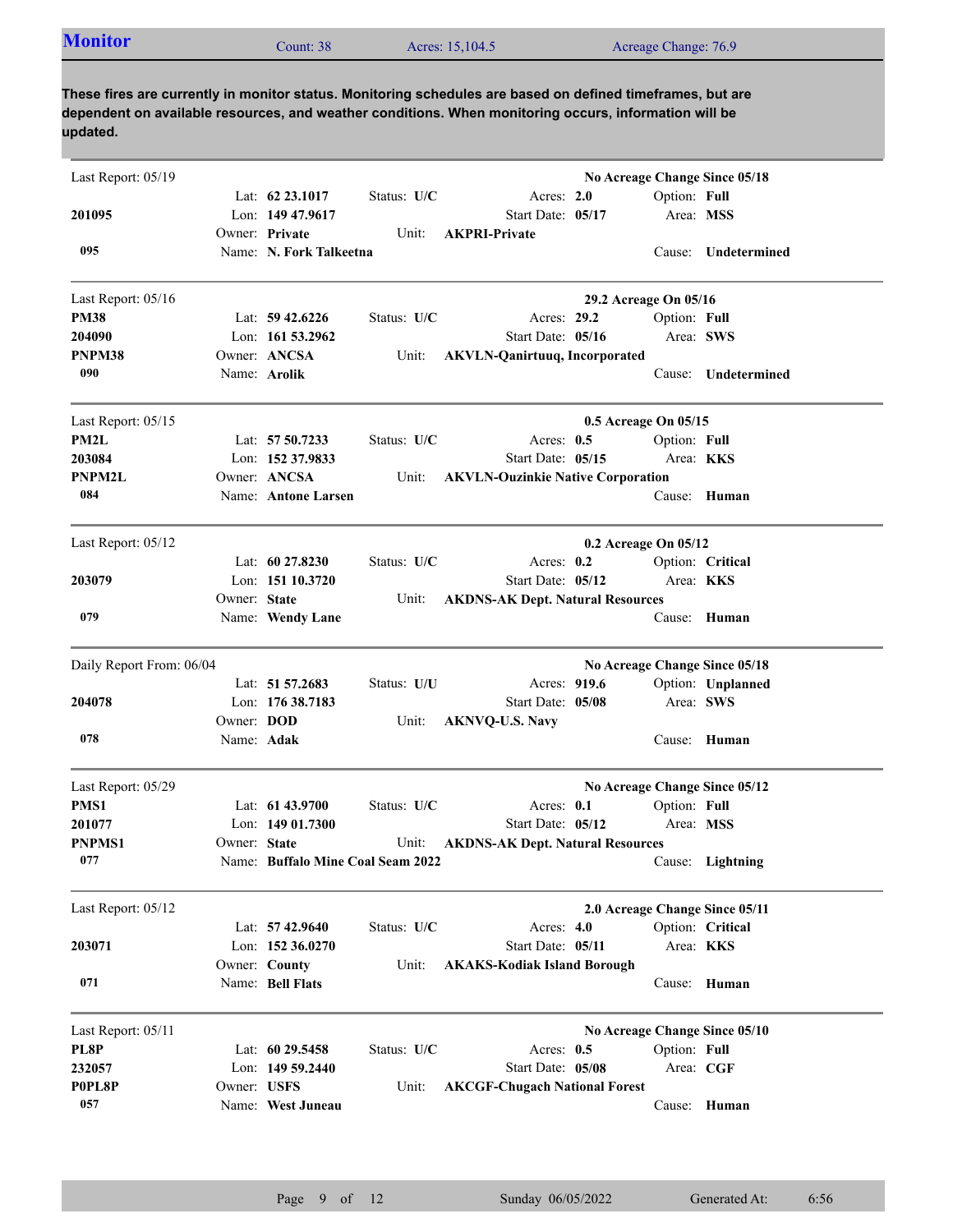| Acreage Change: 76.9<br>Acres: 15,104.5<br>Count: 38 | <b>Monitor</b> |  |  |  |  |
|------------------------------------------------------|----------------|--|--|--|--|
|------------------------------------------------------|----------------|--|--|--|--|

| Last Report: 05/19       |                   |                                   |             |                                          | No Acreage Change Since 05/18  |                  |                     |
|--------------------------|-------------------|-----------------------------------|-------------|------------------------------------------|--------------------------------|------------------|---------------------|
|                          |                   | Lat: $62\,23.1017$                | Status: U/C | Acres: 2.0                               |                                | Option: Full     |                     |
| 201095                   |                   | Lon: 149 47.9617                  |             | Start Date: 05/17                        |                                | Area: MSS        |                     |
|                          |                   | Owner: Private                    | Unit:       | <b>AKPRI-Private</b>                     |                                |                  |                     |
| 095                      |                   | Name: N. Fork Talkeetna           |             |                                          |                                |                  | Cause: Undetermined |
| Last Report: 05/16       |                   |                                   |             |                                          | 29.2 Acreage On 05/16          |                  |                     |
| <b>PM38</b>              |                   | Lat: $59\,42.6226$                | Status: U/C | Acres: 29.2                              |                                | Option: Full     |                     |
| 204090                   |                   | Lon: 161 53.2962                  |             | Start Date: 05/16                        |                                | Area: SWS        |                     |
| PNPM38                   |                   | Owner: ANCSA                      | Unit:       | <b>AKVLN-Qanirtuuq, Incorporated</b>     |                                |                  |                     |
| 090                      |                   | Name: Arolik                      |             |                                          |                                | Cause:           | Undetermined        |
| Last Report: 05/15       |                   |                                   |             |                                          | 0.5 Acreage On 05/15           |                  |                     |
| PM2L                     |                   | Lat: 57 50.7233                   | Status: U/C | Acres: $0.5$                             |                                | Option: Full     |                     |
| 203084                   |                   | Lon: 152 37.9833                  |             | Start Date: 05/15                        |                                | Area: <b>KKS</b> |                     |
| PNPM2L                   |                   | Owner: ANCSA                      | Unit:       | <b>AKVLN-Ouzinkie Native Corporation</b> |                                |                  |                     |
| 084                      |                   | Name: Antone Larsen               |             |                                          |                                |                  | Cause: Human        |
| Last Report: 05/12       |                   |                                   |             |                                          | 0.2 Acreage On 05/12           |                  |                     |
|                          |                   | Lat: $60\,27.8230$                | Status: U/C | Acres: $0.2$                             |                                |                  | Option: Critical    |
| 203079                   |                   | Lon: 151 10.3720                  |             | Start Date: 05/12                        |                                | Area: KKS        |                     |
|                          | Owner: State      |                                   | Unit:       | <b>AKDNS-AK Dept. Natural Resources</b>  |                                |                  |                     |
| 079                      |                   | Name: Wendy Lane                  |             |                                          |                                | Cause:           | Human               |
| Daily Report From: 06/04 |                   |                                   |             |                                          | No Acreage Change Since 05/18  |                  |                     |
|                          |                   | Lat: 51 57.2683                   | Status: U/U | Acres: 919.6                             |                                |                  | Option: Unplanned   |
| 204078                   |                   | Lon: $17638.7183$                 |             | Start Date: 05/08                        |                                | Area: SWS        |                     |
|                          | Owner: <b>DOD</b> |                                   | Unit:       | <b>AKNVQ-U.S. Navy</b>                   |                                |                  |                     |
| 078                      | Name: Adak        |                                   |             |                                          |                                | Cause:           | Human               |
| Last Report: 05/29       |                   |                                   |             |                                          | No Acreage Change Since 05/12  |                  |                     |
| PMS1                     |                   | Lat: $6143.9700$                  | Status: U/C | Acres: $0.1$                             |                                | Option: Full     |                     |
| 201077                   |                   | Lon: $14901.7300$                 |             | Start Date: 05/12                        |                                | Area: MSS        |                     |
| PNPMS1                   | Owner: State      |                                   | Unit:       | <b>AKDNS-AK Dept. Natural Resources</b>  |                                |                  |                     |
| 077                      |                   | Name: Buffalo Mine Coal Seam 2022 |             |                                          |                                |                  | Cause: Lightning    |
| Last Report: 05/12       |                   |                                   |             |                                          | 2.0 Acreage Change Since 05/11 |                  |                     |
|                          |                   | Lat: $57\,42.9640$                | Status: U/C | Acres: $4.0$                             |                                |                  | Option: Critical    |
| 203071                   |                   | Lon: 152 36.0270                  |             | Start Date: 05/11                        |                                | Area: KKS        |                     |
|                          |                   | Owner: County                     | Unit:       | <b>AKAKS-Kodiak Island Borough</b>       |                                |                  |                     |
| 071                      |                   | Name: Bell Flats                  |             |                                          |                                |                  | Cause: Human        |
| Last Report: 05/11       |                   |                                   |             |                                          | No Acreage Change Since 05/10  |                  |                     |
| PL8P                     |                   | Lat: 60 29.5458                   | Status: U/C | Acres: 0.5                               |                                | Option: Full     |                     |
| 232057                   |                   | Lon: 149 59.2440                  |             | Start Date: 05/08                        |                                | Area: CGF        |                     |
| P0PL8P                   | Owner: USFS       |                                   | Unit:       | <b>AKCGF-Chugach National Forest</b>     |                                |                  |                     |
| 057                      |                   | Name: West Juneau                 |             |                                          |                                |                  | Cause: Human        |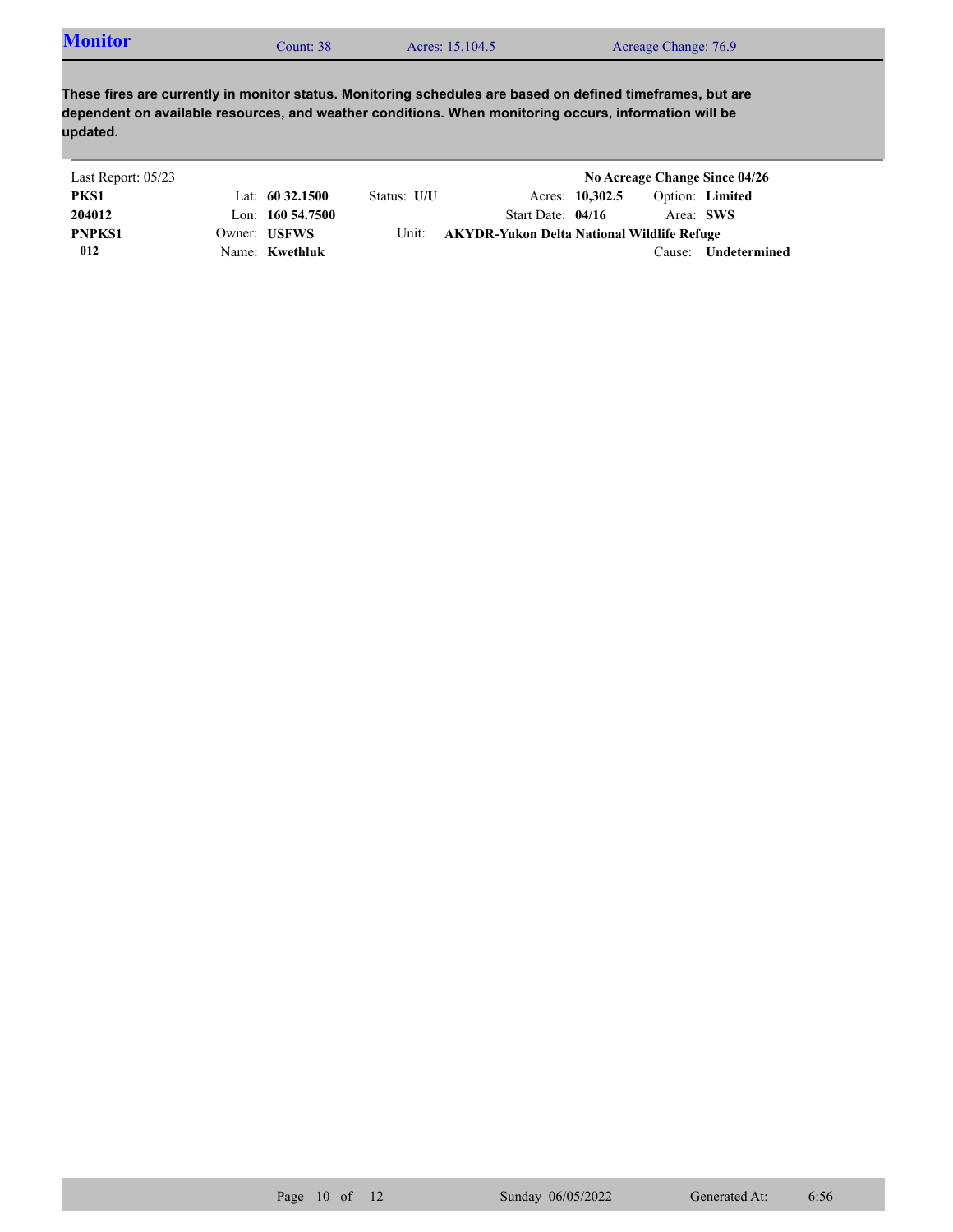| <b>Monitor</b> | Count: 38 | Acres: 15,104.5 | Acreage Change: 76.9 |
|----------------|-----------|-----------------|----------------------|
|----------------|-----------|-----------------|----------------------|

| Last Report: 05/23 |                       |             |                                            |                 |           | No Acreage Change Since 04/26 |
|--------------------|-----------------------|-------------|--------------------------------------------|-----------------|-----------|-------------------------------|
| PKS1               | Lat: $60\,32.1500$    | Status: U/U |                                            | Acres: 10,302.5 |           | Option: Limited               |
| 204012             | Lon: $160\,54.7500$   |             | Start Date: $04/16$                        |                 | Area: SWS |                               |
| <b>PNPKS1</b>      | Owner: USFWS          | Unit:       | AKYDR-Yukon Delta National Wildlife Refuge |                 |           |                               |
| 012                | Name: <b>Kwethluk</b> |             |                                            |                 | Cause:    | Undetermined                  |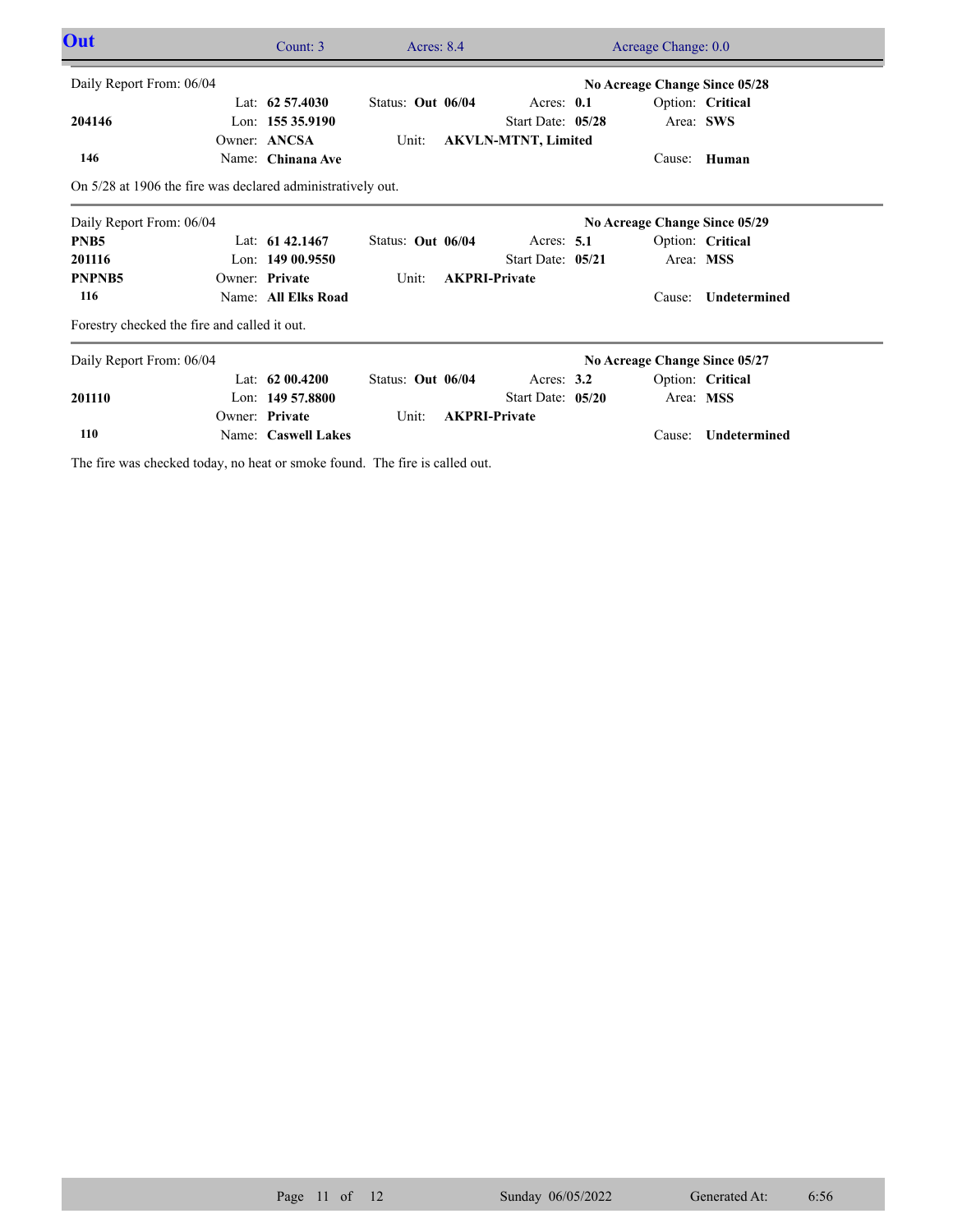| Out                                                         |  | Count: 3            | Acres: 8.4        |  |                            | Acreage Change: 0.0 |                               |                     |  |
|-------------------------------------------------------------|--|---------------------|-------------------|--|----------------------------|---------------------|-------------------------------|---------------------|--|
| Daily Report From: 06/04<br>No Acreage Change Since 05/28   |  |                     |                   |  |                            |                     |                               |                     |  |
|                                                             |  | Lat: $62\,57.4030$  | Status: Out 06/04 |  | Acres: 0.1                 |                     |                               | Option: Critical    |  |
| 204146                                                      |  | Lon: 155 35.9190    |                   |  | Start Date: 05/28          |                     |                               | Area: SWS           |  |
|                                                             |  | Owner: ANCSA        | Unit:             |  | <b>AKVLN-MTNT, Limited</b> |                     |                               |                     |  |
| 146                                                         |  | Name: Chinana Ave   |                   |  |                            |                     | Cause:                        | Human               |  |
| On 5/28 at 1906 the fire was declared administratively out. |  |                     |                   |  |                            |                     |                               |                     |  |
| Daily Report From: 06/04                                    |  |                     |                   |  |                            |                     | No Acreage Change Since 05/29 |                     |  |
| PNB <sub>5</sub>                                            |  | Lat: $61\,42.1467$  | Status: Out 06/04 |  | Acres: $5.1$               |                     |                               | Option: Critical    |  |
| 201116                                                      |  | Lon: $14900.9550$   |                   |  | Start Date: 05/21          |                     |                               | Area: MSS           |  |
| PNPNB <sub>5</sub>                                          |  | Owner: Private      | Unit:             |  | <b>AKPRI-Private</b>       |                     |                               |                     |  |
| 116                                                         |  | Name: All Elks Road |                   |  |                            |                     | Cause:                        | Undetermined        |  |
| Forestry checked the fire and called it out.                |  |                     |                   |  |                            |                     |                               |                     |  |
| Daily Report From: 06/04                                    |  |                     |                   |  |                            |                     | No Acreage Change Since 05/27 |                     |  |
|                                                             |  | Lat: $6200.4200$    | Status: Out 06/04 |  | Acres: $3.2$               |                     |                               | Option: Critical    |  |
| 201110                                                      |  | Lon: $14957.8800$   |                   |  | Start Date: 05/20          |                     |                               | Area: MSS           |  |
|                                                             |  | Owner: Private      | Unit:             |  | <b>AKPRI-Private</b>       |                     |                               |                     |  |
| 110                                                         |  | Name: Caswell Lakes |                   |  |                            |                     | Cause:                        | <b>Undetermined</b> |  |
|                                                             |  |                     |                   |  |                            |                     |                               |                     |  |

The fire was checked today, no heat or smoke found. The fire is called out.